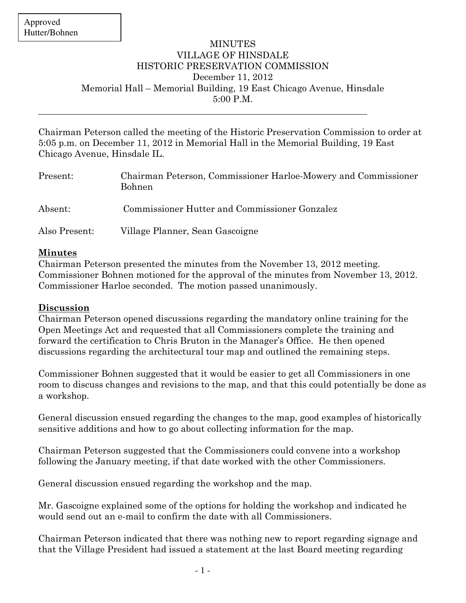$\overline{a}$ 

## **MINUTES** VILLAGE OF HINSDALE HISTORIC PRESERVATION COMMISSION December 11, 2012 Memorial Hall – Memorial Building, 19 East Chicago Avenue, Hinsdale 5:00 P.M.

Chairman Peterson called the meeting of the Historic Preservation Commission to order at 5:05 p.m. on December 11, 2012 in Memorial Hall in the Memorial Building, 19 East Chicago Avenue, Hinsdale IL.

| Present:      | Chairman Peterson, Commissioner Harloe-Mowery and Commissioner<br><b>Bohnen</b> |
|---------------|---------------------------------------------------------------------------------|
| Absent:       | Commissioner Hutter and Commissioner Gonzalez                                   |
| Also Present: | Village Planner, Sean Gascoigne                                                 |

## Minutes

Chairman Peterson presented the minutes from the November 13, 2012 meeting. Commissioner Bohnen motioned for the approval of the minutes from November 13, 2012. Commissioner Harloe seconded. The motion passed unanimously.

## Discussion

Chairman Peterson opened discussions regarding the mandatory online training for the Open Meetings Act and requested that all Commissioners complete the training and forward the certification to Chris Bruton in the Manager's Office. He then opened discussions regarding the architectural tour map and outlined the remaining steps.

Commissioner Bohnen suggested that it would be easier to get all Commissioners in one room to discuss changes and revisions to the map, and that this could potentially be done as a workshop.

General discussion ensued regarding the changes to the map, good examples of historically sensitive additions and how to go about collecting information for the map.

Chairman Peterson suggested that the Commissioners could convene into a workshop following the January meeting, if that date worked with the other Commissioners.

General discussion ensued regarding the workshop and the map.

Mr. Gascoigne explained some of the options for holding the workshop and indicated he would send out an e-mail to confirm the date with all Commissioners.

Chairman Peterson indicated that there was nothing new to report regarding signage and that the Village President had issued a statement at the last Board meeting regarding